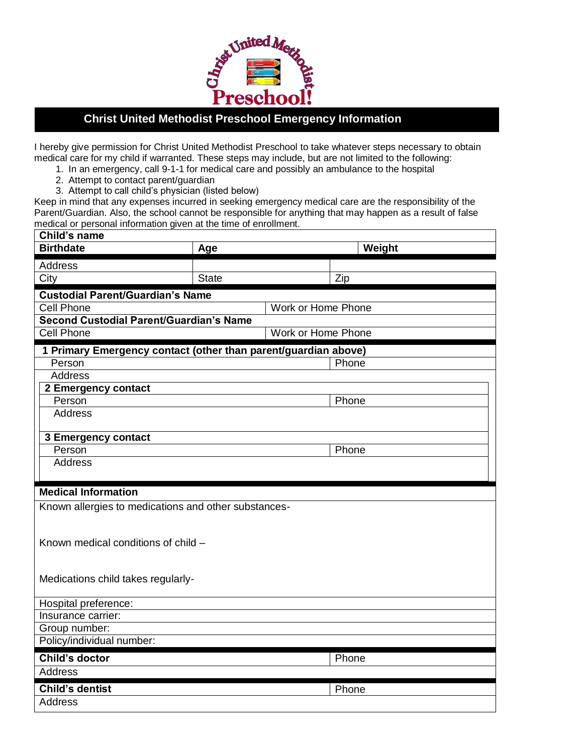

## **Christ United Methodist Preschool Emergency Information**

I hereby give permission for Christ United Methodist Preschool to take whatever steps necessary to obtain medical care for my child if warranted. These steps may include, but are not limited to the following:

- 1. In an emergency, call 9-1-1 for medical care and possibly an ambulance to the hospital
- 2. Attempt to contact parent/guardian

 $\overline{a}$ 

3. Attempt to call child's physician (listed below)

Keep in mind that any expenses incurred in seeking emergency medical care are the responsibility of the Parent/Guardian. Also, the school cannot be responsible for anything that may happen as a result of false medical or personal information given at the time of enrollment.

| Child's name                                                   |              |        |  |
|----------------------------------------------------------------|--------------|--------|--|
| <b>Birthdate</b>                                               | Age          | Weight |  |
| Address                                                        |              |        |  |
| City                                                           | <b>State</b> | Zip    |  |
| <b>Custodial Parent/Guardian's Name</b>                        |              |        |  |
| <b>Cell Phone</b><br>Work or Home Phone                        |              |        |  |
| <b>Second Custodial Parent/Guardian's Name</b>                 |              |        |  |
| Work or Home Phone<br><b>Cell Phone</b>                        |              |        |  |
| 1 Primary Emergency contact (other than parent/guardian above) |              |        |  |
| Person                                                         |              | Phone  |  |
| <b>Address</b>                                                 |              |        |  |
| 2 Emergency contact                                            |              |        |  |
| Person                                                         |              | Phone  |  |
| <b>Address</b>                                                 |              |        |  |
|                                                                |              |        |  |
| <b>3 Emergency contact</b><br>Person                           |              | Phone  |  |
| <b>Address</b>                                                 |              |        |  |
|                                                                |              |        |  |
| <b>Medical Information</b>                                     |              |        |  |
|                                                                |              |        |  |
| Known allergies to medications and other substances-           |              |        |  |
|                                                                |              |        |  |
| Known medical conditions of child -                            |              |        |  |
|                                                                |              |        |  |
|                                                                |              |        |  |
| Medications child takes regularly-                             |              |        |  |
|                                                                |              |        |  |
| Hospital preference:                                           |              |        |  |
| Insurance carrier:                                             |              |        |  |
| Group number:                                                  |              |        |  |
| Policy/individual number:                                      |              |        |  |
| Child's doctor                                                 |              | Phone  |  |
| Address                                                        |              |        |  |
| <b>Child's dentist</b>                                         |              | Phone  |  |
| Address                                                        |              |        |  |